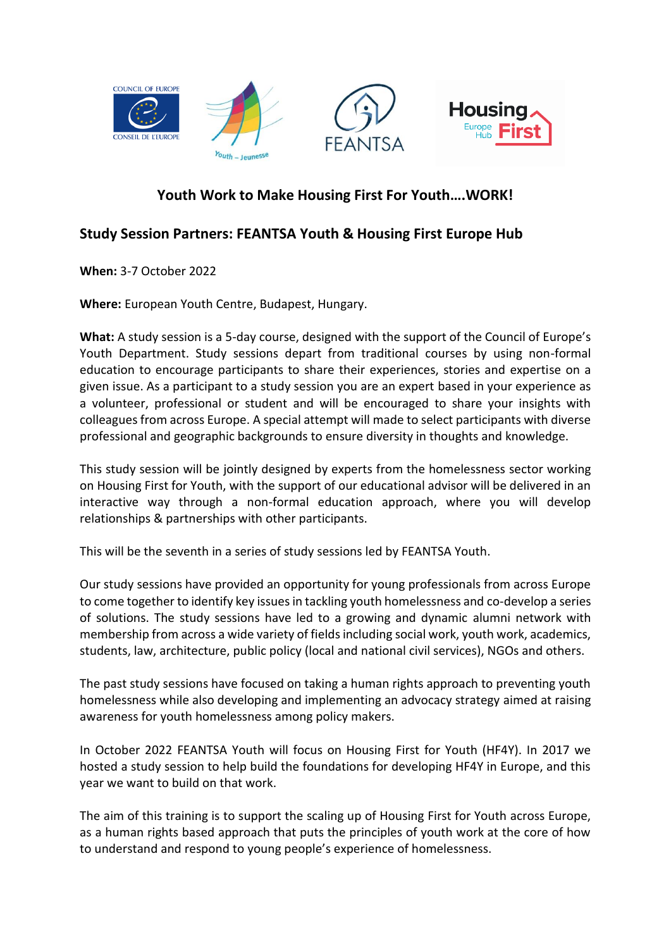

## **Youth Work to Make Housing First For Youth….WORK!**

## **Study Session Partners: FEANTSA Youth & Housing First Europe Hub**

**When:** 3-7 October 2022

**Where:** European Youth Centre, Budapest, Hungary.

**What:** A study session is a 5-day course, designed with the support of the Council of Europe's Youth Department. Study sessions depart from traditional courses by using non-formal education to encourage participants to share their experiences, stories and expertise on a given issue. As a participant to a study session you are an expert based in your experience as a volunteer, professional or student and will be encouraged to share your insights with colleagues from across Europe. A special attempt will made to select participants with diverse professional and geographic backgrounds to ensure diversity in thoughts and knowledge.

This study session will be jointly designed by experts from the homelessness sector working on Housing First for Youth, with the support of our educational advisor will be delivered in an interactive way through a non-formal education approach, where you will develop relationships & partnerships with other participants.

This will be the seventh in a series of study sessions led by FEANTSA Youth.

Our study sessions have provided an opportunity for young professionals from across Europe to come together to identify key issues in tackling youth homelessness and co-develop a series of solutions. The study sessions have led to a growing and dynamic alumni network with membership from across a wide variety of fields including social work, youth work, academics, students, law, architecture, public policy (local and national civil services), NGOs and others.

The past study sessions have focused on taking a human rights approach to preventing youth homelessness while also developing and implementing an advocacy strategy aimed at raising awareness for youth homelessness among policy makers.

In October 2022 FEANTSA Youth will focus on Housing First for Youth (HF4Y). In 2017 we hosted a study session to help build the foundations for developing HF4Y in Europe, and this year we want to build on that work.

The aim of this training is to support the scaling up of Housing First for Youth across Europe, as a human rights based approach that puts the principles of youth work at the core of how to understand and respond to young people's experience of homelessness.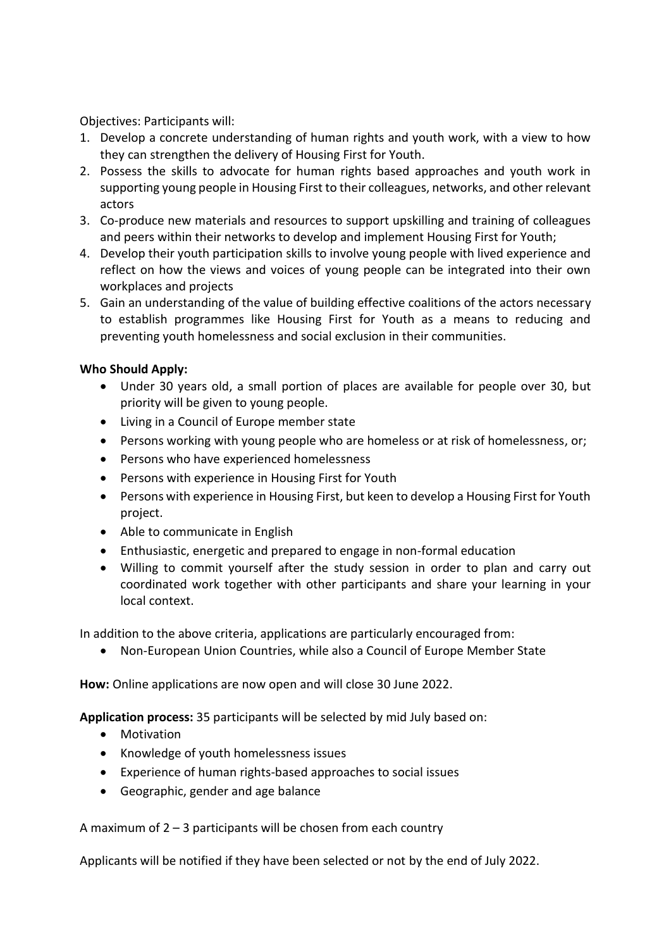Objectives: Participants will:

- 1. Develop a concrete understanding of human rights and youth work, with a view to how they can strengthen the delivery of Housing First for Youth.
- 2. Possess the skills to advocate for human rights based approaches and youth work in supporting young people in Housing First to their colleagues, networks, and other relevant actors
- 3. Co-produce new materials and resources to support upskilling and training of colleagues and peers within their networks to develop and implement Housing First for Youth;
- 4. Develop their youth participation skills to involve young people with lived experience and reflect on how the views and voices of young people can be integrated into their own workplaces and projects
- 5. Gain an understanding of the value of building effective coalitions of the actors necessary to establish programmes like Housing First for Youth as a means to reducing and preventing youth homelessness and social exclusion in their communities.

## **Who Should Apply:**

- Under 30 years old, a small portion of places are available for people over 30, but priority will be given to young people.
- Living in a Council of Europe member state
- Persons working with young people who are homeless or at risk of homelessness, or;
- Persons who have experienced homelessness
- Persons with experience in Housing First for Youth
- Persons with experience in Housing First, but keen to develop a Housing First for Youth project.
- Able to communicate in English
- Enthusiastic, energetic and prepared to engage in non-formal education
- Willing to commit yourself after the study session in order to plan and carry out coordinated work together with other participants and share your learning in your local context.

In addition to the above criteria, applications are particularly encouraged from:

• Non-European Union Countries, while also a Council of Europe Member State

**How:** Online applications are now open and will close 30 June 2022.

**Application process:** 35 participants will be selected by mid July based on:

- Motivation
- Knowledge of youth homelessness issues
- Experience of human rights-based approaches to social issues
- Geographic, gender and age balance

A maximum of  $2 - 3$  participants will be chosen from each country

Applicants will be notified if they have been selected or not by the end of July 2022.